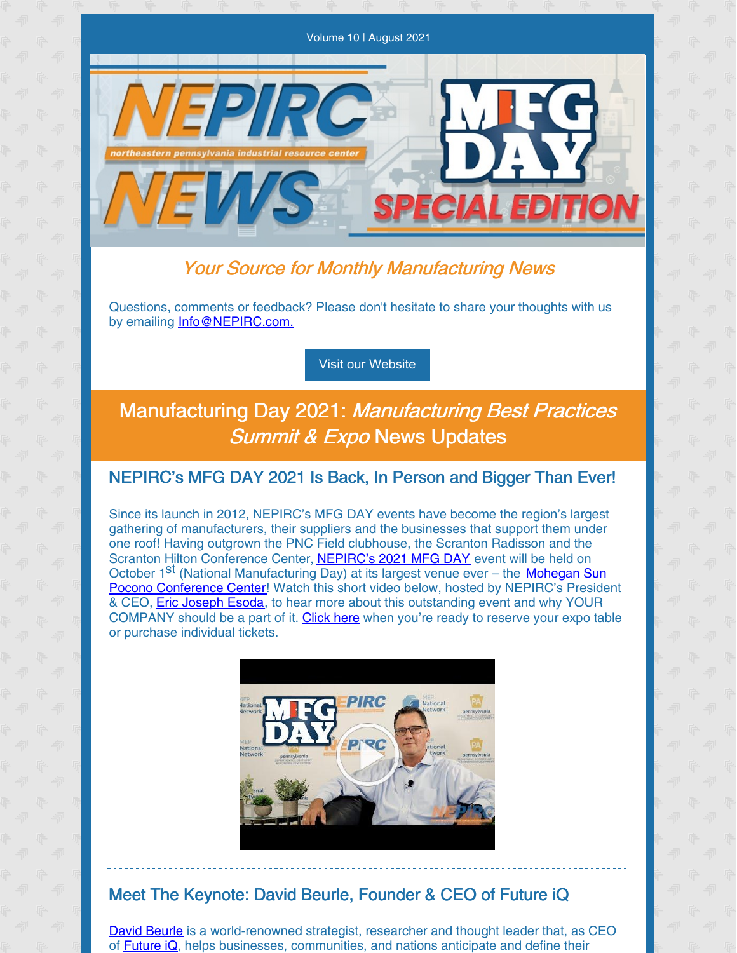

# Your Source for Monthly Manufacturing News

Questions, comments or feedback? Please don't hesitate to share your thoughts with us by emailing [Info@NEPIRC.com.](mailto:info@nepirc.com)

#### Visit our [Website](http://www.nepirc.com)

# Manufacturing Day 2021: Manufacturing Best Practices Summit & Expo News Updates

# NEPIRC's MFG DAY 2021 Is Back, In Person and Bigger Than Ever!

Since its launch in 2012, NEPIRC's MFG DAY events have become the region's largest gathering of manufacturers, their suppliers and the businesses that support them under one roof! Having outgrown the PNC Field clubhouse, the Scranton Radisson and the Scranton Hilton Conference Center, [NEPIRC's](https://nepirc.com/manufacturing-day-2021/) 2021 MFG DAY event will be held on October 1<sup>St</sup> (National [Manufacturing](https://mohegansunpocono.com/) Day) at its largest venue ever – the Mohegan Sun Pocono Conference Center! Watch this short video below, hosted by NEPIRC's President & CEO, Eric [Joseph](https://www.linkedin.com/in/ericesodainpa/) Esoda, to hear more about this outstanding event and why YOUR COMPANY should be a part of it. [Click](https://www.eventbrite.com/e/nepirc-manufacturing-day-2021-manufacturing-best-practices-summit-expo-tickets-164187109063?aff=ebdssbdestsearch) here when you're ready to reserve your expo table or purchase individual tickets.



# Meet The Keynote: David Beurle, Founder & CEO of Future iQ

David [Beurle](https://davidbeurle.com/) is a world-renowned strategist, researcher and thought leader that, as CEO of **[Future](https://future-iq.com/) iQ**, helps businesses, communities, and nations anticipate and define their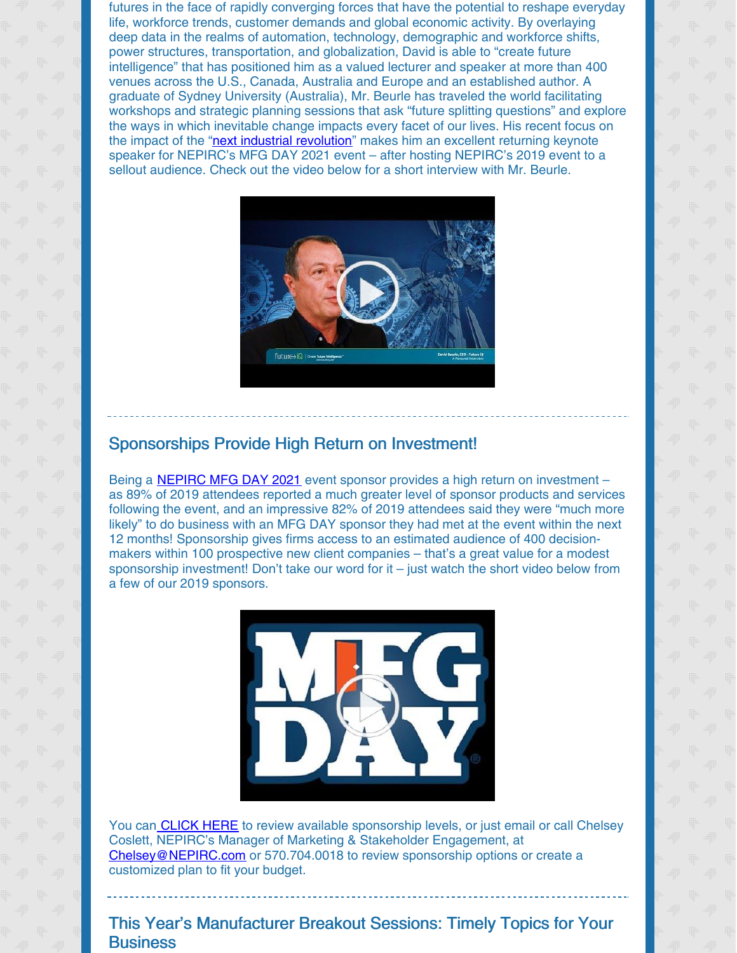futures in the face of rapidly converging forces that have the potential to reshape everyday life, workforce trends, customer demands and global economic activity. By overlaying deep data in the realms of automation, technology, demographic and workforce shifts, power structures, transportation, and globalization, David is able to "create future intelligence" that has positioned him as a valued lecturer and speaker at more than 400 venues across the U.S., Canada, Australia and Europe and an established author. A graduate of Sydney University (Australia), Mr. Beurle has traveled the world facilitating workshops and strategic planning sessions that ask "future splitting questions" and explore the ways in which inevitable change impacts every facet of our lives. His recent focus on the impact of the "next industrial [revolution](https://future-iq.com/foresight-research/foresight-the-next-industrial-revolution/)" makes him an excellent returning keynote speaker for NEPIRC's MFG DAY 2021 event – after hosting NEPIRC's 2019 event to a sellout audience. Check out the video below for a short interview with Mr. Beurle.



#### Sponsorships Provide High Return on Investment!

Being a [NEPIRC](https://nepirc.com/manufacturing-day-2021/) MFG DAY 2021 event sponsor provides a high return on investment – as 89% of 2019 attendees reported a much greater level of sponsor products and services following the event, and an impressive 82% of 2019 attendees said they were "much more likely" to do business with an MFG DAY sponsor they had met at the event within the next 12 months! Sponsorship gives firms access to an estimated audience of 400 decisionmakers within 100 prospective new client companies – that's a great value for a modest sponsorship investment! Don't take our word for it – just watch the short video below from a few of our 2019 sponsors.



You can [CLICK](https://nepirc.com/wp-content/uploads/MFG-Day-2021-Sponsorship-Opps-Gold-Sold-Out.pdf) HERE to review available sponsorship levels, or just email or call Chelsey Coslett, NEPIRC's Manager of Marketing & Stakeholder Engagement, at [Chelsey@NEPIRC.com](mailto:Chelsey@NEPIRC.com) or 570.704.0018 to review sponsorship options or create a customized plan to fit your budget.

This Year's Manufacturer Breakout Sessions: Timely Topics for Your **Business**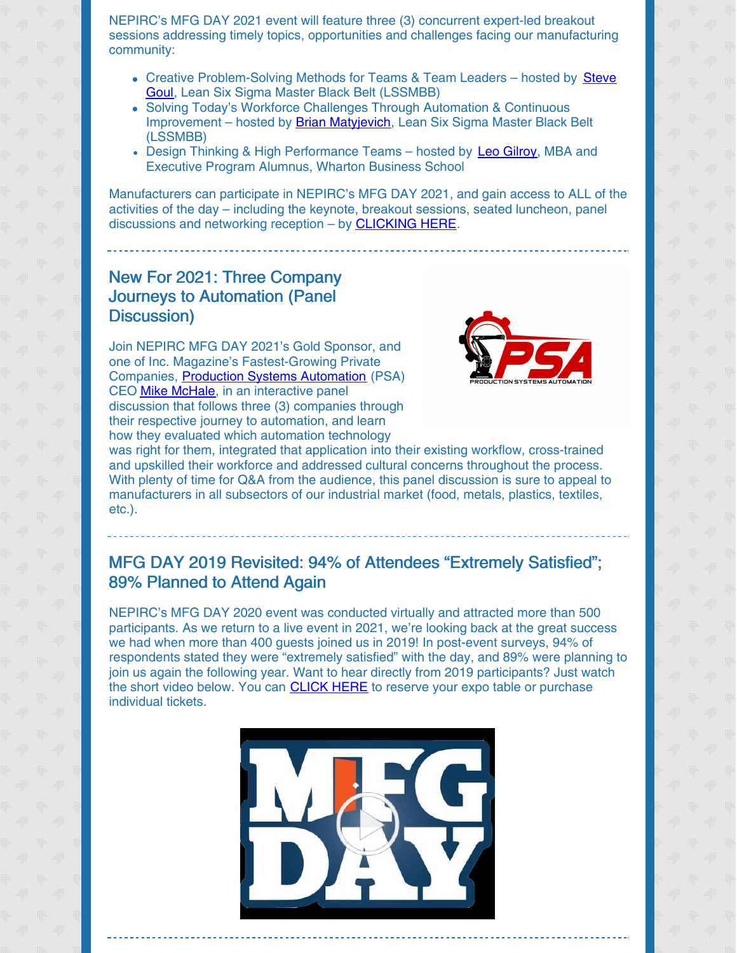NEPIRC's MFG DAY 2021 event will feature three (3) concurrent expert-led breakout sessions addressing timely topics, opportunities and challenges facing our manufacturing community:

- Creative [Problem-Solving](https://www.linkedin.com/in/steve-goul-010756204/) Methods for Teams & Team Leaders hosted by Steve Goul, Lean Six Sigma Master Black Belt (LSSMBB)
- Solving Today's Workforce Challenges Through Automation & Continuous Improvement – hosted by Brian [Matyjevich](https://www.linkedin.com/in/brian-matyjevich-6b428b8b/), Lean Six Sigma Master Black Belt (LSSMBB)
- Design Thinking & High Performance Teams hosted by Leo [Gilroy](https://www.linkedin.com/in/leo-gilroy-262b898/), MBA and Executive Program Alumnus, Wharton Business School

Manufacturers can participate in NEPIRC's MFG DAY 2021, and gain access to ALL of the activities of the day – including the keynote, breakout sessions, seated luncheon, panel discussions and networking reception – by [CLICKING](https://www.eventbrite.com/e/nepirc-manufacturing-day-2021-manufacturing-best-practices-summit-expo-tickets-164187109063?aff=ebdssbdestsearch) HERE.

## New For 2021: Three Company Journeys to Automation (Panel Discussion)

Join NEPIRC MFG DAY 2021's Gold Sponsor, and one of Inc. Magazine's Fastest-Growing Private Companies, Production Systems [Automation](https://psasystems.com/) (PSA) CEO Mike [McHale](https://www.linkedin.com/in/michael-mchale-35060b76/), in an interactive panel discussion that follows three (3) companies through their respective journey to automation, and learn how they evaluated which automation technology



was right for them, integrated that application into their existing workflow, cross-trained and upskilled their workforce and addressed cultural concerns throughout the process. With plenty of time for Q&A from the audience, this panel discussion is sure to appeal to manufacturers in all subsectors of our industrial market (food, metals, plastics, textiles, etc.).

#### MFG DAY 2019 Revisited: 94% of Attendees "Extremely Satisfied"; 89% Planned to Attend Again

NEPIRC's MFG DAY 2020 event was conducted virtually and attracted more than 500 participants. As we return to a live event in 2021, we're looking back at the great success we had when more than 400 guests joined us in 2019! In post-event surveys, 94% of respondents stated they were "extremely satisfied" with the day, and 89% were planning to join us again the following year. Want to hear directly from 2019 participants? Just watch the short video [below](https://youtu.be/uqZKPBjvARY). You can [CLICK](https://www.eventbrite.com/e/nepirc-manufacturing-day-2021-manufacturing-best-practices-summit-expo-tickets-164187109063?aff=ebdssbdestsearch) HERE to reserve your expo table or purchase individual tickets.